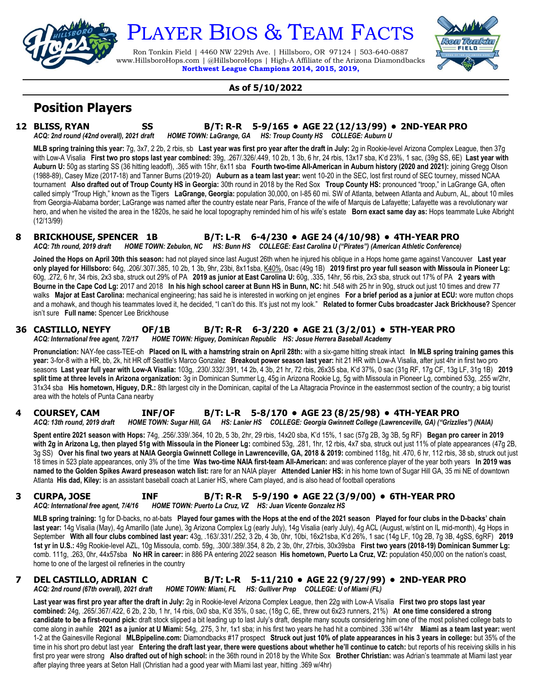

# PLAYER BIOS & TEAM FACTS

Ron Tonkin Field | 4460 NW 229th Ave. | Hillsboro, OR 97124 | 503-640-0887 www.HillsboroHops.com | @HillsboroHops | High-A Affiliate of the Arizona Diamondbacks **Northwest League Champions 2014, 2015, 2019,**



#### **As of 5/10/2022**

# **Position Players**

**12 BLISS, RYAN SS B/T: R-R 5-9/165 • AGE 22 (12/13/99) • 2ND-YEAR PRO** *ACQ: 2nd round (42nd overall), 2021 draft HOME TOWN: LaGrange, GA HS: Troup County HS COLLEGE: Auburn U*

**MLB spring training this year:** 7g, 3x7, 2 2b, 2 rbis, sb **Last year was first pro year after the draft in July:** 2g in Rookie-level Arizona Complex League, then 37g with Low-A Visalia **First two pro stops last year combined:** 39g, .267/.326/.449, 10 2b, 1 3b, 6 hr, 24 rbis, 13x17 sba, K'd 23%, 1 sac, (39g SS, 6E) **Last year with Auburn U:** 50g as starting SS (36 hitting leadoff), .365 with 15hr, 6x11 sba **Fourth two-time All-American in Auburn history (2020 and 2021):** joining Gregg Olson (1988-89), Casey Mize (2017-18) and Tanner Burns (2019-20) **Auburn as a team last year:** went 10-20 in the SEC, lost first round of SEC tourney, missed NCAA tournament **Also drafted out of Troup County HS in Georgia:** 30th round in 2018 by the Red Sox **Troup County HS:** pronounced "troop," in LaGrange GA, often called simply "Troup High," known as the Tigers **LaGrange, Georgia:** population 30,000, on I-85 60 mi. SW of Atlanta, between Atlanta and Auburn, AL, about 10 miles from Georgia-Alabama border; LaGrange was named after the country estate near Paris, France of the wife of Marquis de Lafayette; Lafayette was a revolutionary war hero, and when he visited the area in the 1820s, he said he local topography reminded him of his wife's estate **Born exact same day as:** Hops teammate Luke Albright (12/13/99)

#### **8 BRICKHOUSE, SPENCER 1B B/T: L-R 6-4/230 • AGE 24 (4/10/98) • 4TH-YEAR PRO** *ACQ: 7th round, 2019 draft HOME TOWN: Zebulon, NC HS: Bunn HS COLLEGE: East Carolina U ("Pirates") (American Athletic Conference)*

**Joined the Hops on April 30th this season:** had not played since last August 26th when he injured his oblique in a Hops home game against Vancouver **Last year only played for Hillsboro:** 64g, .206/.307/.385, 10 2b, 1 3b, 9hr, 23bi, 8x11sba, K40%, 0sac (49g 1B) **2019 first pro year full season with Missoula in Pioneer Lg:** 60g, .272, 6 hr, 34 rbis, 2x3 sba, struck out 29% of PA **2019 as junior at East Carolina U:** 60g, .335, 14hr, 56 rbis, 2x3 sba, struck out 17% of PA **2 years with Bourne in the Cape Cod Lg:** 2017 and 2018 **In his high school career at Bunn HS in Bunn, NC:** hit .548 with 25 hr in 90g, struck out just 10 times and drew 77 walks **Major at East Carolina:** mechanical engineering; has said he is interested in working on jet engines **For a brief period as a junior at ECU:** wore mutton chops and a mohawk, and though his teammates loved it, he decided, "I can't do this. It's just not my look." **Related to former Cubs broadcaster Jack Brickhouse?** Spencer isn't sure **Full name:** Spencer Lee Brickhouse

### **36 CASTILLO, NEYFY OF/1B B/T: R-R 6-3/220 • AGE 21 (3/2/01) • 5TH-YEAR PRO**

*ACQ: International free agent, 7/2/17 HOME TOWN: Higuey, Dominican Republic HS: Josue Herrera Baseball Academy*

**Pronunciation:** NAY-fee cass-TEE-oh **Placed on IL with a hamstring strain on April 28th:** with a six-game hitting streak intact **In MLB spring training games this year:** 3-for-8 with a HR, bb, 2k, hit HR off Seattle's Marco Gonzalez **Breakout power season last year:** hit 21 HR with Low-A Visalia, after just 4hr in first two pro seasons **Last year full year with Low-A Visalia:** 103g, .230/.332/.391, 14 2b, 4 3b, 21 hr, 72 rbis, 26x35 sba, K'd 37%, 0 sac (31g RF, 17g CF, 13g LF, 31g 1B) **2019 split time at three levels in Arizona organization:** 3g in Dominican Summer Lg, 45g in Arizona Rookie Lg, 5g with Missoula in Pioneer Lg, combined 53g, .255 w/2hr, 31x34 sba **His hometown, Higuey, D.R.:** 8th largest city in the Dominican, capital of the La Altagracia Province in the easternmost section of the country; a big tourist area with the hotels of Punta Cana nearby

#### **4 COURSEY, CAM INF/OF B/T: L-R 5-8/170 • AGE 23 (8/25/98) • 4TH-YEAR PRO** *ACQ: 13th round, 2019 draft HOME TOWN: Sugar Hill, GA HS: Lanier HS COLLEGE: Georgia Gwinnett College (Lawrenceville, GA) ("Grizzlies") (NAIA)*

**Spent entire 2021 season with Hops:** 74g, .256/.339/.364, 10 2b, 5 3b, 2hr, 29 rbis, 14x20 sba, K'd 15%, 1 sac (57g 2B, 3g 3B, 5g RF) **Began pro career in 2019 with 2g in Arizona Lg, then played 51g with Missoula in the Pioneer Lg:** combined 53g, .281, 1hr, 12 rbis, 4x7 sba, struck out just 11% of plate appearances (47g 2B, 3g SS) **Over his final two years at NAIA Georgia Gwinnett College in Lawrenceville, GA, 2018 & 2019:** combined 118g, hit .470, 6 hr, 112 rbis, 38 sb, struck out just 18 times in 523 plate appearances, only 3% of the time **Was two-time NAIA first-team All-American:** and was conference player of the year both years **In 2019 was named to the Golden Spikes Award preseason watch list:** rare for an NAIA player **Attended Lanier HS:** in his home town of Sugar Hill GA, 35 mi NE of downtown Atlanta **His dad, Kiley:** is an assistant baseball coach at Lanier HS, where Cam played, and is also head of football operations

# **3 CURPA, JOSE INF B/T: R-R 5-9/190 • AGE 22 (3/9/00) • 6TH-YEAR PRO**

*ACQ: International free agent, 7/4/16 HOME TOWN: Puerto La Cruz, VZ HS: Juan Vicente Gonzalez HS*

**MLB spring training:** 1g for D-backs, no at-bats **Played four games with the Hops at the end of the 2021 season Played for four clubs in the D-backs' chain last year:** 14g Visalia (May), 4g Amarillo (late June), 3g Arizona Complex Lg (early July), 14g Visalia (early July), 4g ACL (August, w/stint on IL mid-month), 4g Hops in September **With all four clubs combined last year:** 43g, .163/.331/.252, 3 2b, 4 3b, 0hr, 10bi, 16x21sba, K'd 26%, 1 sac (14g LF, 10g 2B, 7g 3B, 4gSS, 6gRF) **2019 1st yr in U.S.:** 49g Rookie-level AZL, 10g Missoula, comb. 59g, .300/.389/.354, 8 2b, 2 3b, 0hr, 27rbis, 30x39sba **First two years (2018-19) Dominican Summer Lg:** comb. 111g, .263, 0hr, 44x57sba **No HR in career:** in 886 PA entering 2022 season **His hometown, Puerto La Cruz, VZ:** population 450,000 on the nation's coast, home to one of the largest oil refineries in the country

#### **7 DEL CASTILLO, ADRIAN C B/T: L-R 5-11/210 • AGE 22 (9/27/99) • 2ND-YEAR PRO** *ACQ: 2nd round (67th overall), 2021 draft HOME TOWN: Miami, FL HS: Gulliver Prep COLLEGE: U of Miami (FL)*

**Last year was first pro year after the draft in July:** 2g in Rookie-level Arizona Complex League, then 22g with Low-A Visalia **First two pro stops last year combined:** 24g, .265/.367/.422, 6 2b, 2 3b, 1 hr, 14 rbis, 0x0 sba, K'd 35%, 0 sac, (18g C, 6E, threw out 6x23 runners, 21%) **At one time considered a strong candidate to be a first-round pick:** draft stock slipped a bit leading up to last July's draft, despite many scouts considering him one of the most polished college bats to come along in awhile **2021 as a junior at U Miami:** 54g, .275, 3 hr, 1x1 sba; in his first two years he had hit a combined .336 w/14hr **Miami as a team last year:** went 1-2 at the Gainesville Regional **MLBpipeline.com:** Diamondbacks #17 prospect **Struck out just 10% of plate appearances in his 3 years in college:** but 35% of the time in his short pro debut last year Entering the draft last year, there were questions about whether he'll continue to catch: but reports of his receiving skills in his first pro year were strong **Also drafted out of high school:** in the 36th round in 2018 by the White Sox **Brother Christian:** was Adrian's teammate at Miami last year after playing three years at Seton Hall (Christian had a good year with Miami last year, hitting .369 w/4hr)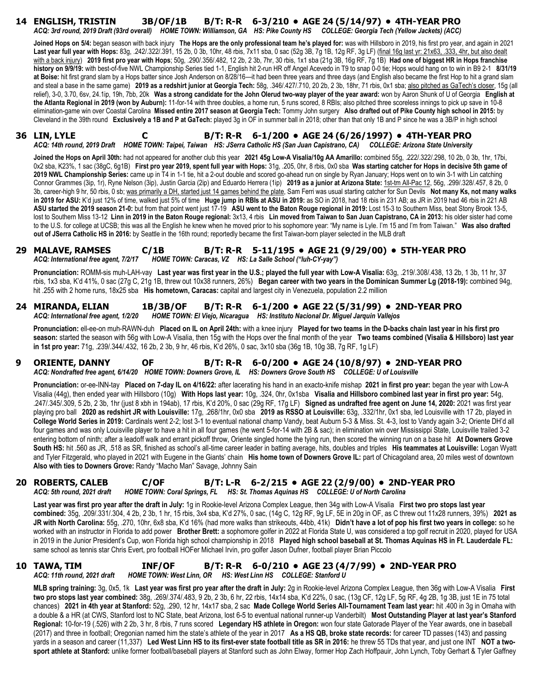#### **14 ENGLISH, TRISTIN 3B/OF/1B B/T: R-R 6-3/210 • AGE 24 (5/14/97) • 4TH-YEAR PRO** *ACQ: 3rd round, 2019 Draft (93rd overall) HOME TOWN: Williamson, GA HS: Pike County HS COLLEGE: Georgia Tech (Yellow Jackets) (ACC)*

**Joined Hops on 5/4:** began season with back injury **The Hops are the only professional team he's played for:** was with Hillsboro in 2019, his first pro year, and again in 2021 **Last year full year with Hops:** 83g, .242/.322/.391, 15 2b, 0 3b, 10hr, 48 rbis, 7x11 sba, 0 sac (52g 3B, 7g 1B, 12g RF, 3g LF) (final 16g last yr: 21x63, .333, 4hr, but also dealt with a back injury) **2019 first pro year with Hops**; 50g, .290/.356/.482, 12 2b, 2 3b, 7hr, 30 rbis, 1x1 sba (21g 3B, 16g RF, 7g 1B) **Had one of biggest HR in Hops franchise history on 9/9/19:** with best-of-five NWL Championship Series tied 1-1, English hit 2-run HR off Angel Acevedo in T9 to snap 0-0 tie; Hops would hang on to win in B9 2-1 **8/31/19 at Boise:** hit first grand slam by a Hops batter since Josh Anderson on 8/28/16—it had been three years and three days (and English also became the first Hop to hit a grand slam and steal a base in the same game) **2019 as a redshirt junior at Georgia Tech:** 58g, .346/.427/.710, 20 2b, 2 3b, 18hr, 71 rbis, 0x1 sba; also pitched as GaTech's closer, 15g (all relief), 3-0, 3.70, 6sv, 24.1ip, 19h, 7bb, 20k **Was a strong candidate for the John Olerud two-way player of the year award:** won by Aaron Shunk of U of Georgia **English at the Atlanta Regional in 2019 (won by Auburn):** 11-for-14 with three doubles, a home run, 5 runs scored, 8 RBIs; also pitched three scoreless innings to pick up save in 10-8 elimination-game win over Coastal Carolina **Missed entire 2017 season at Georgia Tech:** Tommy John surgery **Also drafted out of Pike County high school in 2015:** by Cleveland in the 39th round **Exclusively a 1B and P at GaTech:** played 3g in OF in summer ball in 2018; other than that only 1B and P since he was a 3B/P in high school

**36 LIN, LYLE C B/T: R-R 6-1/200 • AGE 24 (6/26/1997) • 4TH-YEAR PRO** *ACQ: 14th round, 2019 Draft HOME TOWN: Taipei, Taiwan HS: JSerra Catholic HS (San Juan Capistrano, CA) COLLEGE: Arizona State University*

**Joined the Hops on April 30th:** had not appeared for another club this year **2021 45g Low-A Visalia/10g AA Amarillo:** combined 55g, .222/.322/.298, 10 2b, 0 3b, 1hr, 17bi, 0x2 sba, K23%, 1 sac (38gC, 6g1B) **First pro year 2019, spent full year with Hops:** 31g, .205, 0hr, 8 rbis, 0x0 sba **Was starting catcher for Hops in decisive 5th game of 2019 NWL Championship Series:** came up in T4 in 1-1 tie, hit a 2-out double and scored go-ahead run on single by Ryan January; Hops went on to win 3-1 with Lin catching Connor Grammes (3ip, 1r), Ryne Nelson (3ip), Justin Garcia (2ip) and Eduardo Herrera (1ip) **2019 as a junior at Arizona State:** 1st-tm All-Pac 12, 56g, .299/.328/.457, 8 2b, 0 3b, career-high 9 hr, 50 rbis, 0 sb; was primarily a DH, started just 14 games behind the plate, Sam Ferri was usual starting catcher for Sun Devils **Not many Ks, not many walks in 2019 for ASU:** K'd just 12% of time, walked just 5% of time **Huge jump in RBIs at ASU in 2019:** as SO in 2018, had 18 rbis in 231 AB; as JR in 2019 had 46 rbis in 221 AB **ASU started the 2019 season 21-0:** but from that point went just 17-19 **ASU went to the Baton Rouge regional in 2019:** Lost 15-3 to Southern Miss, beat Stony Brook 13-5, lost to Southern Miss 13-12 **Linn in 2019 in the Baton Rouge regional:** 3x13, 4 rbis **Lin moved from Taiwan to San Juan Capistrano, CA in 2013:** his older sister had come to the U.S. for college at UCSB; this was all the English he knew when he moved prior to his sophomore year: "My name is Lyle. I'm 15 and I'm from Taiwan." **Was also drafted out of JSerra Catholic HS in 2016:** by Seattle in the 16th round; reportedly became the first Taiwan-born player selected in the MLB draft

#### **29 MALAVE, RAMSES C/1B B/T: R-R 5-11/195 • AGE 21 (9/29/00) • 5TH-YEAR PRO** *ACQ: International free agent, 7/2/17 HOME TOWN: Caracas, VZ HS: La Salle School ("luh-CY-yay")*

**Pronunciation:** ROMM-sis muh-LAH-vay **Last year was first year in the U.S.; played the full year with Low-A Visalia:** 63g, .219/.308/.438, 13 2b, 1 3b, 11 hr, 37 rbis, 1x3 sba, K'd 41%, 0 sac (27g C, 21g 1B, threw out 10x38 runners, 26%) **Began career with two years in the Dominican Summer Lg (2018-19):** combined 94g, hit .255 with 2 home runs, 18x25 sba **His hometown, Caracas:** capital and largest city in Venezuela, population 2.2 million

#### **24 MIRANDA, ELIAN 1B/3B/OF B/T: R-R 6-1/200 • AGE 22 (5/31/99) • 2ND-YEAR PRO** *ACQ: International free agent, 1/2/20 HOME TOWN: El Viejo, Nicaragua HS: Instituto Nacional Dr. Miguel Jarquin Vallejos*

**Pronunciation:** ell-ee-on muh-RAWN-duh **Placed on IL on April 24th:** with a knee injury **Played for two teams in the D-backs chain last year in his first pro season:** started the season with 56g with Low-A Visalia, then 15g with the Hops over the final month of the year **Two teams combined (Visalia & Hillsboro) last year in 1st pro year:** 71g, .239/.344/.432, 16 2b, 2 3b, 9 hr, 46 rbis, K'd 26%, 0 sac, 3x10 sba (36g 1B, 10g 3B, 7g RF, 1g LF)

#### **9 ORIENTE, DANNY OF B/T: R-R 6-0/200 • AGE 24 (10/8/97) • 2ND-YEAR PRO** *ACQ: Nondrafted free agent, 6/14/20 HOME TOWN: Downers Grove, IL HS: Downers Grove South HS COLLEGE: U of Louisville*

**Pronunciation:** or-ee-INN-tay **Placed on 7-day IL on 4/16/22:** after lacerating his hand in an exacto-knife mishap **2021 in first pro year:** began the year with Low-A Visalia (44g), then ended year with Hillsboro (10g) **With Hops last year:** 10g, .324, 0hr, 0x1sba **Visalia and Hillsboro combined last year in first pro year:** 54g, .247/.345/.309, 5 2b, 2 3b, 1hr (just 8 xbh in 194ab), 17 rbis, K'd 20%, 0 sac (29g RF, 17g LF) **Signed as undrafted free agent on June 14, 2020:** 2021 was first year playing pro ball **2020 as redshirt JR with Louisville:** 17g, .268/1hr, 0x0 sba **2019 as RSSO at Louisville:** 63g, .332/1hr, 0x1 sba, led Louisville with 17 2b, played in **College World Series in 2019:** Cardinals went 2-2; lost 3-1 to eventual national champ Vandy, beat Auburn 5-3 & Miss. St. 4-3, lost to Vandy again 3-2; Oriente DH'd all four games and was only Louisville player to have a hit in all four games (he went 5-for-14 with 2B & sac); in elimination win over Mississippi State, Louisville trailed 3-2 entering bottom of ninth; after a leadoff walk and errant pickoff throw, Oriente singled home the tying run, then scored the winning run on a base hit **At Downers Grove South HS:** hit .560 as JR, .518 as SR, finished as school's all-time career leader in batting average, hits, doubles and triples **His teammates at Louisville:** Logan Wyatt and Tyler Fitzgerald, who played in 2021 with Eugene in the Giants' chain **His home town of Downers Grove IL:** part of Chicagoland area, 20 miles west of downtown **Also with ties to Downers Grove:** Randy "Macho Man" Savage, Johnny Sain

#### **20 ROBERTS, CALEB C/OF B/T: L-R 6-2/215 • AGE 22 (2/9/00) • 2ND-YEAR PRO** *ACQ: 5th round, 2021 draft HOME TOWN: Coral Springs, FL HS: St. Thomas Aquinas HS COLLEGE: U of North Carolina*

**Last year was first pro year after the draft in July:** 1g in Rookie-level Arizona Complex League, then 34g with Low-A Visalia **First two pro stops last year combined:** 35g, .209/.331/.304, 4 2b, 2 3b, 1 hr, 15 rbis, 3x4 sba, K'd 27%, 0 sac, (14g C, 12g RF, 9g LF, 5E in 20g in OF, as C threw out 11x28 runners, 39%) **2021 as JR with North Carolina:** 55g, .270, 10hr, 6x8 sba, K'd 16% (had more walks than strikeouts, 44bb, 41k) **Didn't have a lot of pop his first two years in college:** so he worked with an instructor in Florida to add power **Brother Brett:** a sophomore golfer in 2022 at Florida State U, was considered a top golf recruit in 2020, played for USA in 2019 in the Junior President's Cup, won Florida high school championship in 2018 **Played high school baseball at St. Thomas Aquinas HS in Ft. Lauderdale FL:** same school as tennis star Chris Evert, pro football HOFer Michael Irvin, pro golfer Jason Dufner, football player Brian Piccolo

#### **10 TAWA, TIM INF/OF B/T: R-R 6-0/210 • AGE 23 (4/7/99) • 2ND-YEAR PRO** *HOME TOWN: West Linn, OR HS: West Linn HS COLLEGE: Stanford U*

**MLB spring training:** 3g, 0x5, 1k **Last year was first pro year after the draft in July:** 2g in Rookie-level Arizona Complex League, then 36g with Low-A Visalia **First two pro stops last year combined:** 38g, .269/.374/.483, 9 2b, 2 3b, 6 hr, 22 rbis, 14x14 sba, K'd 22%, 0 sac, (13g CF, 12g LF, 5g RF, 4g 2B, 1g 3B, just 1E in 75 total chances) **2021 in 4th year at Stanford:** 52g, .290, 12 hr, 14x17 sba, 2 sac **Made College World Series All-Tournament Team last year:** hit .400 in 3g in Omaha with a double & a HR (at CWS, Stanford lost to NC State, beat Arizona, lost 6-5 to eventual national runner-up Vanderbilt) **Most Outstanding Player at last year's Stanford Regional:** 10-for-19 (.526) with 2 2b, 3 hr, 8 rbis, 7 runs scored **Legendary HS athlete in Oregon:** won four state Gatorade Player of the Year awards, one in baseball (2017) and three in football; Oregonian named him the state's athlete of the year in 2017 **As a HS QB, broke state records:** for career TD passes (143) and passing yards in a season and career (11,337) **Led West Linn HS to its first-ever state football title as SR in 2016:** he threw 55 TDs that year, and just one INT **NOT a two**sport athlete at Stanford: unlike former football/baseball players at Stanford such as John Elway, former Hop Zach Hoffpauir, John Lynch, Toby Gerhart & Tyler Gaffney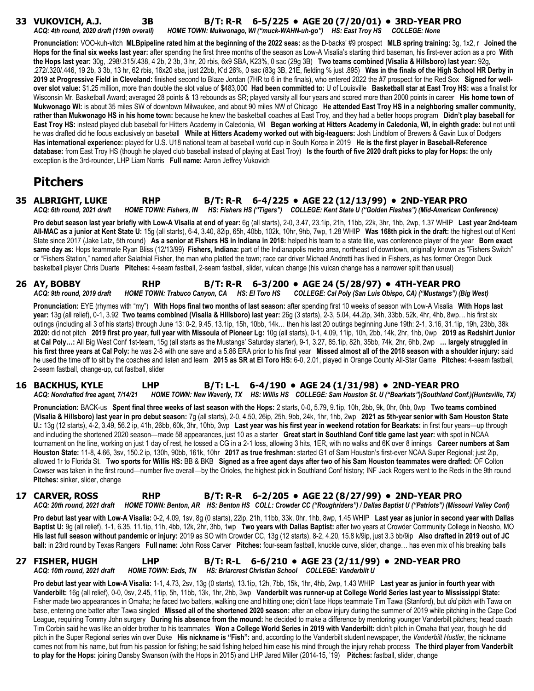# **33 VUKOVICH, A.J. 3B B/T: R-R 6-5/225 • AGE 20 (7/20/01) • 3RD-YEAR PRO**

*ACQ: 4th round, 2020 draft (119th overall) HOME TOWN: Mukwonago, WI ("muck-WAHN-uh-go") HS: East Troy HS COLLEGE: None*

**Pronunciation:** VOO-kuh-vitch **MLBpipeline rated him at the beginning of the 2022 seas:** as the D-backs' #9 prospect **MLB spring training:** 3g, 1x2, r **Joined the Hops for the final six weeks last year:** after spending the first three months of the season as Low-A Visalia's starting third baseman, his first-ever action as a pro **With the Hops last year:** 30g, .298/.315/.438, 4 2b, 2 3b, 3 hr, 20 rbis, 6x9 SBA, K23%, 0 sac (29g 3B) **Two teams combined (Visalia & Hillsboro) last year:** 92g, .272/.320/.446, 19 2b, 3 3b, 13 hr, 62 rbis, 16x20 sba, just 22bb, K'd 26%, 0 sac (83g 3B, 21E, fielding % just .895) **Was in the finals of the High School HR Derby in**  2019 at Progressive Field in Cleveland: finished second to Blaze Jordan (7HR to 6 in the finals), who entered 2022 the #7 prospect for the Red Sox Signed for well**over slot value:** \$1.25 million, more than double the slot value of \$483,000 **Had been committed to:** U of Louisville **Basketball star at East Troy HS:** was a finalist for Wisconsin Mr. Basketball Award; averaged 28 points & 13 rebounds as SR; played varsity all four years and scored more than 2000 points in career **His home town of Mukwonago WI:** is about 35 miles SW of downtown Milwaukee, and about 90 miles NW of Chicago **He attended East Troy HS in a neighboring smaller community, rather than Mukwonago HS in his home town:** because he knew the basketball coaches at East Troy, and they had a better hoops program **Didn't play baseball for East Troy HS:** instead played club baseball for Hitters Academy in Caledonia, WI **Began working at Hitters Academy in Caledonia, WI, in eighth grade:** but not until he was drafted did he focus exclusively on baseball **While at Hitters Academy worked out with big-leaguers:** Josh Lindblom of Brewers & Gavin Lux of Dodgers **Has international experience:** played for U.S. U18 national team at baseball world cup in South Korea in 2019 **He is the first player in Baseball-Reference database:** from East Troy HS (though he played club baseball instead of playing at East Troy) **Is the fourth of five 2020 draft picks to play for Hops:** the only exception is the 3rd-rounder, LHP Liam Norris **Full name:** Aaron Jeffrey Vukovich

# **Pitchers**

### **35 ALBRIGHT, LUKE RHP B/T: R-R 6-4/225 • AGE 22 (12/13/99) • 2ND-YEAR PRO**

*ACQ: 6th round, 2021 draft HOME TOWN: Fishers, IN HS: Fishers HS ("Tigers") COLLEGE: Kent State U ("Golden Flashes") (Mid-American Conference)*

**Pro debut season last year briefly with Low-A Visalia at end of year:** 6g (all starts), 2-0, 3.47, 23.1ip, 21h, 11bb, 22k, 3hr, 1hb, 2wp, 1.37 WHIP **Last year 2nd-team All-MAC as a junior at Kent State U:** 15g (all starts), 6-4, 3.40, 82ip, 65h, 40bb, 102k, 10hr, 9hb, 7wp, 1.28 WHIP **Was 168th pick in the draft:** the highest out of Kent State since 2017 (Jake Latz, 5th round) **As a senior at Fishers HS in Indiana in 2018:** helped his team to a state title, was conference player of the year **Born exact**  same day as: Hops teammate Ryan Bliss (12/13/99) Fishers, Indiana: part of the Indianapolis metro area, northeast of downtown, originally known as "Fishers Switch" or "Fishers Station," named after Salathial Fisher, the man who platted the town; race car driver Michael Andretti has lived in Fishers, as has former Oregon Duck basketball player Chris Duarte **Pitches:** 4-seam fastball, 2-seam fastball, slider, vulcan change (his vulcan change has a narrower split than usual)

**26 AY, BOBBY RHP B/T: R-R 6-3/200 • AGE 24 (5/28/97) • 4TH-YEAR PRO** *ACQ: 9th round, 2019 draft HOME TOWN: Trabuco Canyon, CA HS: El Toro HS COLLEGE: Cal Poly (San Luis Obispo, CA) ("Mustangs") (Big West)*

**Pronunciation:** EYE (rhymes with "my") **With Hops final two months of last season:** after spending first 10 weeks of season with Low-A Visalia **With Hops last year:** 13g (all relief), 0-1, 3.92 **Two teams combined (Visalia & Hillsboro) last year:** 26g (3 starts), 2-3, 5.04, 44.2ip, 34h, 33bb, 52k, 4hr, 4hb, 8wp… his first six outings (including all 3 of his starts) through June 13: 0-2, 9.45, 13.1ip, 15h, 10bb, 14k… then his last 20 outings beginning June 19th: 2-1, 3.16, 31.1ip, 19h, 23bb, 38k **2020:** did not pitch **2019 first pro year, full year with Missoula of Pioneer Lg:** 10g (all starts), 0-1, 4.09, 11ip, 10h, 2bb, 14k, 2hr, 1hb, 0wp **2019 as Redshirt Junior at Cal Poly…:** All Big West Conf 1st-team, 15g (all starts as the Mustangs' Saturday starter), 9-1, 3.27, 85.1ip, 82h, 35bb, 74k, 2hr, 6hb, 2wp **… largely struggled in his first three years at Cal Poly:** he was 2-8 with one save and a 5.86 ERA prior to his final year **Missed almost all of the 2018 season with a shoulder injury:** said he used the time off to sit by the coaches and listen and learn **2015 as SR at El Toro HS:** 6-0, 2.01, played in Orange County All-Star Game **Pitches:** 4-seam fastball, 2-seam fastball, change-up, cut fastball, slider

**16 BACKHUS, KYLE LHP B/T: L-L 6-4/190 • AGE 24 (1/31/98) • 2ND-YEAR PRO** *ACQ: Nondrafted free agent, 7/14/21 HOME TOWN: New Waverly, TX HS: Willis HS COLLEGE: Sam Houston St. U ("Bearkats")(Southland Conf.)(Huntsville, TX)*

**Pronunciation:** BACK-us **Spent final three weeks of last season with the Hops:** 2 starts, 0-0, 5.79, 9.1ip, 10h, 2bb, 9k, 0hr, 0hb, 0wp **Two teams combined (Visalia & Hillsboro) last year in pro debut season:** 7g (all starts), 2-0, 4.50, 26ip, 25h, 9bb, 24k, 1hr, 1hb, 2wp **2021 as 5th-year senior with Sam Houston State U.:** 13g (12 starts), 4-2, 3.49, 56.2 ip, 41h, 26bb, 60k, 3hr, 10hb, 3wp **Last year was his first year in weekend rotation for Bearkats:** in first four years—up through and including the shortened 2020 season—made 58 appearances, just 10 as a starter **Great start in Southland Conf title game last year:** with spot in NCAA tournament on the line, working on just 1 day of rest, he tossed a CG in a 2-1 loss, allowing 3 hits, 1ER, with no walks and 6K over 8 innings **Career numbers at Sam Houston State:** 11-8, 4.66, 3sv, 150.2 ip, 130h, 90bb, 161k, 10hr **2017 as true freshman:** started G1 of Sam Houston's first-ever NCAA Super Regional; just 2ip, allowed 1r to Florida St. **Two sports for Willis HS:** BB & BKB **Signed as a free agent days after two of his Sam Houston teammates were drafted:** OF Colton Cowser was taken in the first round—number five overall—by the Orioles, the highest pick in Southland Conf history; INF Jack Rogers went to the Reds in the 9th round **Pitches:** sinker, slider, change

# **17 CARVER, ROSS RHP B/T: R-R 6-2/205 • AGE 22 (8/27/99) • 2ND-YEAR PRO**

*ACQ: 20th round, 2021 draft HOME TOWN: Benton, AR HS: Benton HS COLL: Crowder CC ("Roughriders") / Dallas Baptist U ("Patriots") (Missouri Valley Conf)*

**Pro debut last year with Low-A Visalia:** 0-2, 4.09, 1sv, 8g (0 starts), 22ip, 21h, 11bb, 33k, 0hr, 1hb, 8wp, 1.45 WHIP **Last year as junior in second year with Dallas Baptist U:** 9g (all relief), 1-1, 6.35, 11.1ip, 11h, 4bb, 12k, 2hr, 3hb, 1wp **Two years with Dallas Baptist:** after two years at Crowder Community College in Neosho, MO **His last full season without pandemic or injury:** 2019 as SO with Crowder CC, 13g (12 starts), 8-2, 4.20, 15.8 k/9ip, just 3.3 bb/9ip **Also drafted in 2019 out of JC ball:** in 23rd round by Texas Rangers **Full name:** John Ross Carver **Pitches:** four-seam fastball, knuckle curve, slider, change… has even mix of his breaking balls

#### **27 FISHER, HUGH LHP B/T: R-L 6-6/210 • AGE 23 (2/11/99) • 2ND-YEAR PRO** *ACQ: 10th round, 2021 draft HOME TOWN: Eads, TN HS: Briarcrest Christian School COLLEGE: Vanderbilt U*

**Pro debut last year with Low-A Visalia:** 1-1, 4.73, 2sv, 13g (0 starts), 13.1ip, 12h, 7bb, 15k, 1hr, 4hb, 2wp, 1.43 WHIP **Last year as junior in fourth year with Vanderbilt:** 16g (all relief), 0-0, 0sv, 2.45, 11ip, 5h, 11bb, 13k, 1hr, 2hb, 3wp **Vanderbilt was runner-up at College World Series last year to Mississippi State:** Fisher made two appearances in Omaha; he faced two batters, walking one and hitting one; didn't face Hops teammate Tim Tawa (Stanford), but *did* pitch with Tawa on base, entering one batter after Tawa singled **Missed all of the shortened 2020 season:** after an elbow injury during the summer of 2019 while pitching in the Cape Cod League, requiring Tommy John surgery **During his absence from the mound:** he decided to make a difference by mentoring younger Vanderbilt pitchers; head coach Tim Corbin said he was like an older brother to his teammates **Won a College World Series in 2019 with Vanderbilt:** didn't pitch in Omaha that year, though he did pitch in the Super Regional series win over Duke **His nickname is "Fish":** and, according to the Vanderbilt student newspaper, the *Vanderbilt Hustler*, the nickname comes not from his name, but from his passion for fishing; he said fishing helped him ease his mind through the injury rehab process **The third player from Vanderbilt to play for the Hops:** joining Dansby Swanson (with the Hops in 2015) and LHP Jared Miller (2014-15, '19) **Pitches:** fastball, slider, change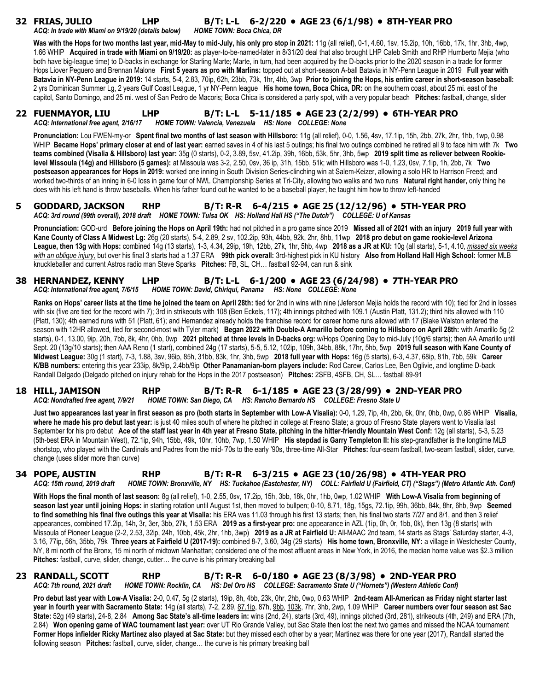# **32 FRIAS, JULIO LHP B/T: L-L 6-2/220 • AGE 23 (6/1/98) • 8TH-YEAR PRO**

*ACQ: In trade with Miami on 9/19/20 (details below) HOME TOWN: Boca Chica, DR* 

**Was with the Hops for two months last year, mid-May to mid-July, his only pro stop in 2021:** 11g (all relief), 0-1, 4.60, 1sv, 15.2ip, 10h, 16bb, 17k, 1hr, 3hb, 4wp, 1.66 WHIP **Acquired in trade with Miami on 9/19/20:** as player-to-be-named-later in 8/31/20 deal that also brought LHP Caleb Smith and RHP Humberto Mejia (who both have big-league time) to D-backs in exchange for Starling Marte; Marte, in turn, had been acquired by the D-backs prior to the 2020 season in a trade for former Hops Liover Peguero and Brennan Malone **First 5 years as pro with Marlins:** topped out at short-season A-ball Batavia in NY-Penn League in 2019 **Full year with Batavia in NY-Penn League in 2019:** 14 starts, 5-4, 2.83, 70ip, 62h, 23bb, 73k, 1hr, 4hb, 3wp **Prior to joining the Hops, his entire career in short-season baseball:** 2 yrs Dominican Summer Lg, 2 years Gulf Coast League, 1 yr NY-Penn league **His home town, Boca Chica, DR:** on the southern coast, about 25 mi. east of the capitol, Santo Domingo, and 25 mi. west of San Pedro de Macoris; Boca Chica is considered a party spot, with a very popular beach **Pitches:** fastball, change, slider

#### **22 FUENMAYOR, LIU LHP B/T: L-L 5-11/185 • AGE 23 (2/2/99) • 6TH-YEAR PRO** *ACQ: International free agent, 2/16/17 HOME TOWN: Valencia, Venezuela HS: None COLLEGE: None*

**Pronunciation:** Lou FWEN-my-or **Spent final two months of last season with Hillsboro:** 11g (all relief), 0-0, 1.56, 4sv, 17.1ip, 15h, 2bb, 27k, 2hr, 1hb, 1wp, 0.98 WHIP **Became Hops' primary closer at end of last year:** earned saves in 4 of his last 5 outings; his final two outings combined he retired all 9 to face him with 7k **Two teams combined (Visalia & Hillsboro) last year:** 35g (0 starts), 0-2, 3.89, 5sv, 41.2ip, 39h, 16bb, 53k, 5hr, 3hb, 5wp **2019 split time as reliever between Rookielevel Missoula (14g) and Hillsboro (5 games):** at Missoula was 3-2, 2.50, 0sv, 36 ip, 31h, 15bb, 51k; with Hillsboro was 1-0, 1.23, 0sv, 7,1ip, 1h, 2bb, 7k **Two postseason appearances for Hops in 2019:** worked one inning in South Division Series-clinching win at Salem-Keizer, allowing a solo HR to Harrison Freed; and worked two-thirds of an inning in 6-0 loss in game four of NWL Championship Series at Tri-City, allowing two walks and two runs **Natural right hander,** only thing he does with his left hand is throw baseballs. When his father found out he wanted to be a baseball player, he taught him how to throw left-handed

#### **5 GODDARD, JACKSON RHP B/T: R-R 6-4/215 • AGE 25 (12/12/96) • 5TH-YEAR PRO** *ACQ: 3rd round (99th overall), 2018 draft HOME TOWN: Tulsa OK HS: Holland Hall HS ("The Dutch") COLLEGE: U of Kansas*

**Pronunciation:** GOD-urd **Before joining the Hops on April 19th:** had not pitched in a pro game since 2019 **Missed all of 2021 with an injury 2019 full year with Kane County of Class A Midwest Lg:** 26g (20 starts), 5-4, 2.89, 2 sv, 102.2ip, 93h, 44bb, 92k, 2hr, 8hb, 11wp **2018 pro debut on game rookie-level Arizona League, then 13g with Hops:** combined 14g (13 starts), 1-3, 4.34, 29ip, 19h, 12bb, 27k, 1hr, 5hb, 4wp **2018 as a JR at KU:** 10g (all starts), 5-1, 4.10, *missed six weeks with an oblique injury,* but over his final 3 starts had a 1.37 ERA **99th pick overall:** 3rd-highest pick in KU history **Also from Holland Hall High School:** former MLB knuckleballer and current Astros radio man Steve Sparks **Pitches:** FB, SL, CH… fastball 92-94, can run & sink

#### **38 HERNANDEZ, KENNY LHP B/T: L-L 6-1/200 • AGE 23 (6/24/98) • 7TH-YEAR PRO** *ACQ: International free agent, 7/6/15 HOME TOWN: David, Chiriqui, Panama HS: None COLLEGE: None*

**Ranks on Hops' career lists at the time he joined the team on April 28th:** tied for 2nd in wins with nine (Jeferson Mejia holds the record with 10); tied for 2nd in losses with six (five are tied for the record with 7); 3rd in strikeouts with 108 (Ben Eckels, 117); 4th innings pitched with 109.1 (Austin Platt, 131.2); third hits allowed with 110 (Platt, 130); 4th earned runs with 51 (Platt, 61); and Hernandez already holds the franchise record for career home runs allowed with 17 (Blake Walston entered the season with 12HR allowed, tied for second-most with Tyler mark) **Began 2022 with Double-A Amarillo before coming to Hillsboro on April 28th:** with Amarillo 5g (2 starts), 0-1, 13.00, 9ip, 20h, 7bb, 8k, 4hr, 0hb, 0wp **2021 pitched at three levels in D-backs org:** w/Hops Opening Day to mid-July (10g/6 starts); then AA Amarillo until Sept. 20 (13g/10 starts); then AAA Reno (1 start), combined 24g (17 starts), 5-5, 5.12, 102ip, 109h, 34bb, 88k, 17hr, 5hb, 5wp **2019 full season with Kane County of Midwest League:** 30g (1 start), 7-3, 1.88, 3sv, 96ip, 85h, 31bb, 83k, 1hr, 3hb, 5wp **2018 full year with Hops:** 16g (5 starts), 6-3, 4.37, 68ip, 81h, 7bb, 59k **Career K/BB numbers:** entering this year 233ip, 8k/9ip, 2.4bb/9ip **Other Panamanian-born players include:** Rod Carew, Carlos Lee, Ben Oglivie, and longtime D-back Randall Delgado (Delgado pitched on injury rehab for the Hops in the 2017 postseason) **Pitches:** 2SFB, 4SFB, CH, SL… fastball 89-91

#### **18 HILL, JAMISON RHP B/T: R-R 6-1/185 • AGE 23 (3/28/99) • 2ND-YEAR PRO** *ACQ: Nondrafted free agent, 7/9/21 HOME TOWN: San Diego, CA HS: Rancho Bernardo HS COLLEGE: Fresno State U*

**Just two appearances last year in first season as pro (both starts in September with Low-A Visalia):** 0-0, 1.29, 7ip, 4h, 2bb, 6k, 0hr, 0hb, 0wp, 0.86 WHIP **Visalia,**  where he made his pro debut last year: is just 40 miles south of where he pitched in college at Fresno State; a group of Fresno State players went to Visalia last September for his pro debut **Ace of the staff last year in 4th year at Fresno State, pitching in the hitter-friendly Mountain West Conf:** 12g (all starts), 5-3, 5.23 (5th-best ERA in Mountain West), 72.1ip, 94h, 15bb, 49k, 10hr, 10hb, 7wp, 1.50 WHIP **His stepdad is Garry Templeton II:** his step-grandfather is the longtime MLB shortstop, who played with the Cardinals and Padres from the mid-'70s to the early '90s, three-time All-Star **Pitches:** four-seam fastball, two-seam fastball, slider, curve, change (uses slider more than curve)

#### **34 POPE, AUSTIN RHP B/T: R-R 6-3/215 • AGE 23 (10/26/98) • 4TH-YEAR PRO** *ACQ: 15th round, 2019 draft HOME TOWN: Bronxville, NY HS: Tuckahoe (Eastchester, NY) COLL: Fairfield U (Fairfield, CT) ("Stags") (Metro Atlantic Ath. Conf)*

**With Hops the final month of last season:** 8g (all relief), 1-0, 2.55, 0sv, 17.2ip, 15h, 3bb, 18k, 0hr, 1hb, 0wp, 1.02 WHIP **With Low-A Visalia from beginning of season last year until joining Hops:** in starting rotation until August 1st, then moved to bullpen; 0-10, 8.71, 18g, 15gs, 72.1ip, 99h, 36bb, 84k, 8hr, 6hb, 9wp **Seemed**  to find something his final five outings this year at Visalia: his ERA was 11.03 through his first 13 starts; then, his final two starts 7/27 and 8/1, and then 3 relief appearances, combined 17.2ip, 14h, 3r, 3er, 3bb, 27k, 1.53 ERA **2019 as a first-year pro:** one appearance in AZL (1ip, 0h, 0r, 1bb, 0k), then 13g (8 starts) with Missoula of Pioneer League (2-2, 2.53, 32ip, 24h, 10bb, 45k, 2hr, 1hb, 3wp) **2019 as a JR at Fairfield U:** All-MAAC 2nd team, 14 starts as Stags' Saturday starter, 4-3, 3.16, 77ip, 56h, 35bb, 79k **Three years at Fairfield U (2017-19):** combined 8-7, 3.60, 34g (29 starts) **His home town, Bronxville, NY:** a village in Westchester County, NY, 8 mi north of the Bronx, 15 mi north of midtown Manhattan; considered one of the most affluent areas in New York, in 2016, the median home value was \$2.3 million

#### **23 RANDALL, SCOTT RHP B/T: R-R 6-0/180 • AGE 23 (8/3/98) • 2ND-YEAR PRO** *ACQ: 7th round, 2021 draft HOME TOWN: Rocklin, CA HS: Del Oro HS COLLEGE: Sacramento State U ("Hornets") (Western Athletic Conf)*

**Pitches:** fastball, curve, slider, change, cutter… the curve is his primary breaking ball

**Pro debut last year with Low-A Visalia:** 2-0, 0.47, 5g (2 starts), 19ip, 8h, 4bb, 23k, 0hr, 2hb, 0wp, 0.63 WHIP **2nd-team All-American as Friday night starter last year in fourth year with Sacramento State:** 14g (all starts), 7-2, 2.89, 87.1ip, 87h, 9bb, 103k, 7hr, 3hb, 2wp, 1.09 WHIP **Career numbers over four season ast Sac State:** 52g (49 starts), 24-8, 2.84 **Among Sac State's all-time leaders in:** wins (2nd, 24), starts (3rd, 49), innings pitched (3rd, 281), strikeouts (4th, 249) and ERA (7th, 2.84) **Won opening game of WAC tournament last year:** over UT Rio Grande Valley, but Sac State then lost the next two games and missed the NCAA tournament Former Hops infielder Ricky Martinez also played at Sac State: but they missed each other by a year; Martinez was there for one year (2017), Randall started the following season **Pitches:** fastball, curve, slider, change… the curve is his primary breaking ball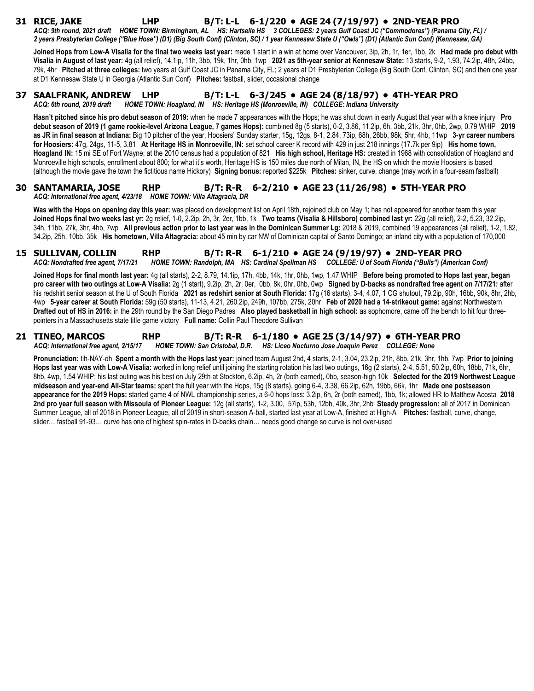# **31 RICE, JAKE LHP B/T: L-L 6-1/220 • AGE 24 (7/19/97) • 2ND-YEAR PRO**

*ACQ: 9th round, 2021 draft HOME TOWN: Birmingham, AL HS: Hartselle HS 3 COLLEGES: 2 years Gulf Coast JC ("Commodores") (Panama City, FL) / 2 years Presbyterian College ("Blue Hose") (D1) (Big South Conf) (Clinton, SC) / 1 year Kennesaw State U ("Owls") (D1) (Atlantic Sun Conf) (Kennesaw, GA)* 

**Joined Hops from Low-A Visalia for the final two weeks last year:** made 1 start in a win at home over Vancouver, 3ip, 2h, 1r, 1er, 1bb, 2k **Had made pro debut with Visalia in August of last year:** 4g (all relief), 14.1ip, 11h, 3bb, 19k, 1hr, 0hb, 1wp **2021 as 5th-year senior at Kennesaw State:** 13 starts, 9-2, 1.93, 74.2ip, 48h, 24bb, 79k, 4hr **Pitched at three colleges:** two years at Gulf Coast JC in Panama City, FL; 2 years at D1 Presbyterian College (Big South Conf, Clinton, SC) and then one year at D1 Kennesaw State U in Georgia (Atlantic Sun Conf) **Pitches:** fastball, slider, occasional change

#### **37 SAALFRANK, ANDREW LHP B/T: L-L 6-3/245 • AGE 24 (8/18/97) • 4TH-YEAR PRO**

*ACQ: 6th round, 2019 draft HOME TOWN: Hoagland, IN HS: Heritage HS (Monroeville, IN) COLLEGE: Indiana University* 

**Hasn't pitched since his pro debut season of 2019:** when he made 7 appearances with the Hops; he was shut down in early August that year with a knee injury **Pro debut season of 2019 (1 game rookie-level Arizona League, 7 games Hops):** combined 8g (5 starts), 0-2, 3.86, 11.2ip, 6h, 3bb, 21k, 3hr, 0hb, 2wp, 0.79 WHIP **2019 as JR in final season at Indiana:** Big 10 pitcher of the year, Hoosiers' Sunday starter, 15g, 12gs, 8-1, 2.84, 73ip, 68h, 26bb, 98k, 5hr, 4hb, 11wp **3-yr career numbers for Hoosiers:** 47g, 24gs, 11-5, 3.81 **At Heritage HS in Monroeville, IN:** set school career K record with 429 in just 218 innings (17.7k per 9ip) **His home town, Hoagland IN:** 15 mi SE of Fort Wayne; at the 2010 census had a population of 821 **His high school, Heritage HS:** created in 1968 with consolidation of Hoagland and Monroeville high schools, enrollment about 800; for what it's worth, Heritage HS is 150 miles due north of Milan, IN, the HS on which the movie Hoosiers is based (although the movie gave the town the fictitious name Hickory) **Signing bonus:** reported \$225k **Pitches:** sinker, curve, change (may work in a four-seam fastball)

#### **30 SANTAMARIA, JOSE RHP B/T: R-R 6-2/210 • AGE 23 (11/26/98) • 5TH-YEAR PRO** *ACQ: International free agent, 4/23/18 HOME TOWN: Villa Altagracia, DR*

**Was with the Hops on opening day this year:** was placed on development list on April 18th, rejoined club on May 1; has not appeared for another team this year **Joined Hops final two weeks last yr:** 2g relief, 1-0, 2.2ip, 2h, 3r, 2er, 1bb, 1k **Two teams (Visalia & Hillsboro) combined last yr:** 22g (all relief), 2-2, 5.23, 32.2ip, 34h, 11bb, 27k, 3hr, 4hb, 7wp **All previous action prior to last year was in the Dominican Summer Lg:** 2018 & 2019, combined 19 appearances (all relief), 1-2, 1.82, 34.2ip, 25h, 10bb, 35k **His hometown, Villa Altagracia:** about 45 min by car NW of Dominican capital of Santo Domingo; an inland city with a population of 170,000

#### **15 SULLIVAN, COLLIN RHP B/T: R-R 6-1/210 • AGE 24 (9/19/97) • 2ND-YEAR PRO** *ACQ: Nondrafted free agent, 7/17/21 HOME TOWN: Randolph, MA HS: Cardinal Spellman HS COLLEGE: U of South Florida ("Bulls") (American Conf)*

**Joined Hops for final month last year:** 4g (all starts), 2-2, 8.79, 14.1ip, 17h, 4bb, 14k, 1hr, 0hb, 1wp, 1.47 WHIP **Before being promoted to Hops last year, began pro career with two outings at Low-A Visalia:** 2g (1 start), 9.2ip, 2h, 2r, 0er, 0bb, 8k, 0hr, 0hb, 0wp **Signed by D-backs as nondrafted free agent on 7/17/21:** after his redshirt senior season at the U of South Florida **2021 as redshirt senior at South Florida:** 17g (16 starts), 3-4, 4.07, 1 CG shutout, 79.2ip, 90h, 16bb, 90k, 8hr, 2hb, 4wp **5-year career at South Florida:** 59g (50 starts), 11-13, 4.21, 260.2ip, 249h, 107bb, 275k, 20hr **Feb of 2020 had a 14-strikeout game:** against Northwestern **Drafted out of HS in 2016:** in the 29th round by the San Diego Padres **Also played basketball in high school:** as sophomore, came off the bench to hit four threepointers in a Massachusetts state title game victory **Full name:** Collin Paul Theodore Sullivan

#### **21 TINEO, MARCOS RHP B/T: R-R 6-1/180 • AGE 25 (3/14/97) • 6TH-YEAR PRO** *ACQ: International free agent, 2/15/17 HOME TOWN: San Cristobal, D.R. HS: Liceo Nocturno Jose Joaquin Perez COLLEGE: None*

**Pronunciation:** tih-NAY-oh **Spent a month with the Hops last year:** joined team August 2nd, 4 starts, 2-1, 3.04, 23.2ip, 21h, 8bb, 21k, 3hr, 1hb, 7wp **Prior to joining Hops last year was with Low-A Visalia:** worked in long relief until joining the starting rotation his last two outings, 16g (2 starts), 2-4, 5.51, 50.2ip, 60h, 18bb, 71k, 6hr, 8hb, 4wp, 1.54 WHIP; his last outing was his best on July 29th at Stockton, 6.2ip, 4h, 2r (both earned), 0bb, season-high 10k **Selected for the 2019 Northwest League midseason and year-end All-Star teams:** spent the full year with the Hops, 15g (8 starts), going 6-4, 3.38, 66.2ip, 62h, 19bb, 66k, 1hr **Made one postseason appearance for the 2019 Hops:** started game 4 of NWL championship series, a 6-0 hops loss: 3.2ip, 6h, 2r (both earned), 1bb, 1k; allowed HR to Matthew Acosta **2018 2nd pro year full season with Missoula of Pioneer League:** 12g (all starts), 1-2, 3.00, 57ip, 53h, 12bb, 40k, 3hr, 2hb **Steady progression:** all of 2017 in Dominican Summer League, all of 2018 in Pioneer League, all of 2019 in short-season A-ball, started last year at Low-A, finished at High-A **Pitches:** fastball, curve, change, slider… fastball 91-93… curve has one of highest spin-rates in D-backs chain… needs good change so curve is not over-used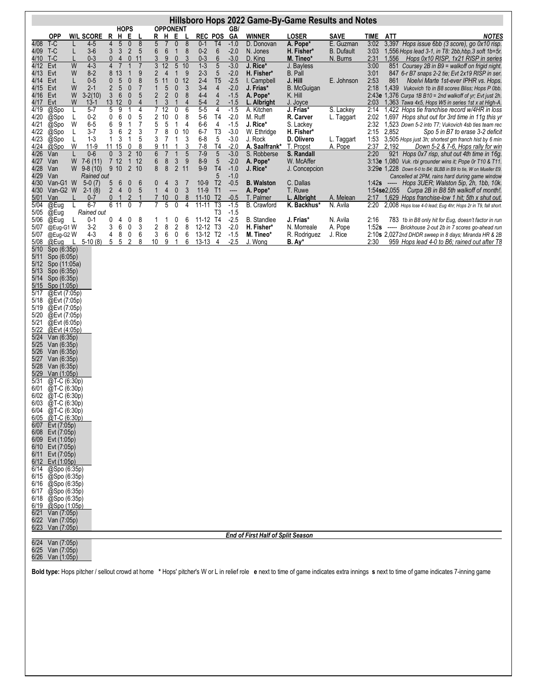| Hillsboro Hops 2022 Game-By-Game Results and Notes                                                                                                                                                                                                                                                                                                                                                                                                                                                                                                                                                                                                                                                                                                                                                                                                                                                                                                                                                                                                                                                                                                                                                                                                                    |                                                                                                                                                                                                                                                                                                                                                                                                     |                                                                                                                                                                                                                                                                                                                                                                                                                                                                                                                                                                                                                                                                                                                                                                                                                                                                                                                                                                                      |                                                                                                                                                                                                                                                                                                                                                                                                                                                                                                                                                                                                                                                                                                                                                                                                                                                                                                                                                                                                                           |                                                                                                                                                                                                                                                                                                                                                                                                                                                                                                                                                                                                |                                                                                                                                                                                                                                                                                         |                                                                                                                                                                                                                                                                                                                                                                    |                                                                                                                                                                                                                                                                                                                                                                   |                                                                                                                                                                         |                                                                                                                                                                                                                                                                                                                                                                                                                                                                                                                                                                                                                                                                                                                                                                                                                                                                                                                                                                                                                                                                                                                                                                                                                                                                                                                                                                                                                                                                                                                                                                                                                                                          |
|-----------------------------------------------------------------------------------------------------------------------------------------------------------------------------------------------------------------------------------------------------------------------------------------------------------------------------------------------------------------------------------------------------------------------------------------------------------------------------------------------------------------------------------------------------------------------------------------------------------------------------------------------------------------------------------------------------------------------------------------------------------------------------------------------------------------------------------------------------------------------------------------------------------------------------------------------------------------------------------------------------------------------------------------------------------------------------------------------------------------------------------------------------------------------------------------------------------------------------------------------------------------------|-----------------------------------------------------------------------------------------------------------------------------------------------------------------------------------------------------------------------------------------------------------------------------------------------------------------------------------------------------------------------------------------------------|--------------------------------------------------------------------------------------------------------------------------------------------------------------------------------------------------------------------------------------------------------------------------------------------------------------------------------------------------------------------------------------------------------------------------------------------------------------------------------------------------------------------------------------------------------------------------------------------------------------------------------------------------------------------------------------------------------------------------------------------------------------------------------------------------------------------------------------------------------------------------------------------------------------------------------------------------------------------------------------|---------------------------------------------------------------------------------------------------------------------------------------------------------------------------------------------------------------------------------------------------------------------------------------------------------------------------------------------------------------------------------------------------------------------------------------------------------------------------------------------------------------------------------------------------------------------------------------------------------------------------------------------------------------------------------------------------------------------------------------------------------------------------------------------------------------------------------------------------------------------------------------------------------------------------------------------------------------------------------------------------------------------------|------------------------------------------------------------------------------------------------------------------------------------------------------------------------------------------------------------------------------------------------------------------------------------------------------------------------------------------------------------------------------------------------------------------------------------------------------------------------------------------------------------------------------------------------------------------------------------------------|-----------------------------------------------------------------------------------------------------------------------------------------------------------------------------------------------------------------------------------------------------------------------------------------|--------------------------------------------------------------------------------------------------------------------------------------------------------------------------------------------------------------------------------------------------------------------------------------------------------------------------------------------------------------------|-------------------------------------------------------------------------------------------------------------------------------------------------------------------------------------------------------------------------------------------------------------------------------------------------------------------------------------------------------------------|-------------------------------------------------------------------------------------------------------------------------------------------------------------------------|----------------------------------------------------------------------------------------------------------------------------------------------------------------------------------------------------------------------------------------------------------------------------------------------------------------------------------------------------------------------------------------------------------------------------------------------------------------------------------------------------------------------------------------------------------------------------------------------------------------------------------------------------------------------------------------------------------------------------------------------------------------------------------------------------------------------------------------------------------------------------------------------------------------------------------------------------------------------------------------------------------------------------------------------------------------------------------------------------------------------------------------------------------------------------------------------------------------------------------------------------------------------------------------------------------------------------------------------------------------------------------------------------------------------------------------------------------------------------------------------------------------------------------------------------------------------------------------------------------------------------------------------------------|
| <b>OPP</b>                                                                                                                                                                                                                                                                                                                                                                                                                                                                                                                                                                                                                                                                                                                                                                                                                                                                                                                                                                                                                                                                                                                                                                                                                                                            | <b>W/L SCORE</b>                                                                                                                                                                                                                                                                                                                                                                                    | E<br>$\mathsf{R}$<br>Н<br>L                                                                                                                                                                                                                                                                                                                                                                                                                                                                                                                                                                                                                                                                                                                                                                                                                                                                                                                                                          | H<br>R<br>E.<br>L                                                                                                                                                                                                                                                                                                                                                                                                                                                                                                                                                                                                                                                                                                                                                                                                                                                                                                                                                                                                         | <b>REC POS</b>                                                                                                                                                                                                                                                                                                                                                                                                                                                                                                                                                                                 | GA                                                                                                                                                                                                                                                                                      | <b>WINNER</b>                                                                                                                                                                                                                                                                                                                                                      | <b>LOSER</b>                                                                                                                                                                                                                                                                                                                                                      | <b>SAVE</b>                                                                                                                                                             | <u>ATT</u><br><b>NOTES</b><br><b>TIME</b>                                                                                                                                                                                                                                                                                                                                                                                                                                                                                                                                                                                                                                                                                                                                                                                                                                                                                                                                                                                                                                                                                                                                                                                                                                                                                                                                                                                                                                                                                                                                                                                                                |
| T-C<br>4/08<br>T-C<br>4/09<br>T-C<br>4/10<br>4/12<br>Evt<br>Evt<br>4/13<br>Evt<br>4/14<br>Evt<br>4/15<br>Evt<br>4/16<br>Evt<br>4/17<br>@Spo<br>4/19<br>4/20<br>@Spo<br>@Spo<br>4/21<br>@Spo<br>4/22<br>4/23<br>@Spo<br>4/24<br>@Spo<br>4/26<br>Van<br>4/27<br>Van<br>4/28<br>Van<br>Van<br>4/29<br>4/30<br>Van-G1 W<br>Van-G2 W<br>4/30<br>5/01<br>Van<br>@Eug<br>5/04<br>@Eug<br>5/05<br>@Eug<br>5/06<br>@Eug-G1W<br>5/07<br>@Eug-G2W<br>5/07<br>5/08<br>@Eug<br>5/10<br>Spo (6:35p)<br>Spo (6:05p)<br>5/11<br>5/12<br>Spo (11:05a)<br>5/13<br>Spo (6:35p)<br>5/14<br>Spo (6:35p)<br>Spo (1:05p)<br>5/15<br>@Evt (7:05p)<br>5/17<br>5/18<br>@Evt (7:05p)<br>5/19<br>@Evt (7:05p)<br>5/20<br>@Evt (7:05p)<br>@Evt (6:05p)<br>5/21<br>@Evt (4:05p)<br>5/22<br>5/24<br>Van (6:35p)<br>Van (6:35p)<br>5/25<br>5/26<br>Van (6:35p)<br>Van (6:35p)<br>5/27<br>Van (6:35p)<br>5/28<br>Van (1:05p)<br>5/29<br>5/31<br>@T-C (6:30p)<br>6/01<br>$@T-C(6:30p)$<br>@T-C (6:30p)<br>6/02<br>6/03 @T-C (6:30p)<br>$6/04$ @T-C $(6:30p)$<br>@T-C (6:30p)<br>6/05<br>6/07 Evt (7:05p)<br>6/08 Evt (7:05p)<br>6/09 Evt (1:05p)<br>6/10 Evt (7:05p)<br>6/11 Evt (7:05p)<br>6/12 Evt (1:05p)<br>6/14<br>@Spo (6:35p)<br>6/15 @Spo (6:35p)<br>$6/16$ @Spo (6:35p)<br>$6/17$ @Spo (6:35p) | 4-5<br>L<br>$3-6$<br>0-3<br>W<br>$4 - 3$<br>$8 - 2$<br>W<br>$0-5$<br>L<br>W<br>$2-1$<br>W<br>$3-2(10)$<br>W<br>$13-1$<br>$5 - 7$<br>L<br>$0 - 2$<br>L<br>W<br>$6-5$<br>$3 - 7$<br>L<br>L<br>$1 - 3$<br>W<br>$11-9$<br>$0-6$<br>W<br>$7-6(11)$<br>$W$ 9-8 (10)<br>Rained out<br>$5-0(7)$<br>$2-1(8)$<br>L<br>$0 - 7$<br>$6 - 7$<br>L<br>Rained out<br>L,<br>$0 - 1$<br>$3-2$<br>$4 - 3$<br>$5-10(8)$ | <b>HOPS</b><br>5<br>0<br>4<br>$\overline{5}$<br>3<br>$\mathbf{3}$<br>$\overline{2}$<br>$\overline{0}$<br>$\overline{4}$<br>$\mathbf{0}$<br>11<br>$\overline{7}$<br>$\overline{4}$<br>$\overline{7}$<br>$\mathbf{1}$<br>8<br>13<br>$\mathbf{1}$<br>5<br>$\pmb{0}$<br>$\mathbf{0}$<br>$\overline{7}$<br>$\overline{2}$<br>$5\,$<br>$\pmb{0}$<br>$\mathfrak{Z}$<br>$6\phantom{.}$<br>$\pmb{0}$<br>13 12<br>$\overline{0}$<br>4<br>5<br>9<br>1<br>6<br>$\frac{5}{7}$<br>0<br>0<br>6<br>9<br>$\overline{1}$<br>$\boldsymbol{2}$<br>$\frac{3}{5}$<br>3<br>6<br>$\mathbf{1}$<br>3<br>1<br>$\boldsymbol{8}$<br>1115<br>$\overline{0}$<br>3<br>$\overline{2}$<br>10<br>$\mathbf{0}$<br>7 <sub>12</sub><br>$1 12$<br>$\overline{2}$<br>9 10<br>10<br>$6\phantom{1}6$<br>5<br>6<br>$\boldsymbol{0}$<br>$\mathbf 0$<br>5<br>$\overline{2}$<br>$\overline{4}$<br>2<br>$\mathbf{0}$<br>1<br>1<br>6 11<br>$\overline{7}$<br>0<br>0<br>8<br>0<br>4<br>3<br>6<br>0<br>6<br>4<br>8<br>0<br>5<br>5<br>2 | <b>OPPONENT</b><br>8<br>5<br>0<br>8<br>7<br>6<br>$\boldsymbol{6}$<br>$\mathbf{1}$<br>8<br>3<br>9<br>0<br>3<br>3<br>12<br>5 <sub>10</sub><br>$\overline{4}$<br>$\overline{\mathbf{c}}$<br>9<br>$\mathbf{1}$<br>9<br>8<br>5<br>11<br>$\mathbf 0$<br>12<br>$\ddot{\mathbf{0}}$<br>$\overline{5}$<br>$\sqrt{3}$<br>1<br>$\sqrt{2}$<br>$\overline{\mathbf{c}}$<br>$\pmb{0}$<br>5<br>8<br>$\mathbf{1}$<br>3<br>$\mathbf{1}$<br>$\overline{4}$<br>4<br>7<br>12<br>0<br>6<br>2<br>$\begin{array}{c} 10 \\ 5 \end{array}$<br>$\begin{smallmatrix}0\\1\end{smallmatrix}$<br>8<br>5<br>4<br>7<br>8<br>0<br>10<br>3<br>$\mathbf{1}$<br>3<br>7<br>3<br>9<br>1<br>11<br>6<br>1<br>5<br>7<br>6<br>$\mathfrak{S}$<br>$\bf 8$<br>9<br>8<br>8<br>$\overline{2}$<br>11<br>3<br>0<br>$\overline{7}$<br>4<br>$\mathbf{1}$<br>$\overline{4}$<br>$\pmb{0}$<br>3<br>$\mathbf 0$<br>8<br>$\overline{7}$<br>10<br>5<br>7<br>0<br>4<br>0<br>6<br>1<br>1<br>$\overline{\mathbf{c}}$<br>3<br>2<br>8<br>8<br>3<br>6<br>0<br>6<br>8<br>10<br>9<br>6<br>1 | $0 - 1$<br>T4<br>$0 - 2$<br>6<br>$6\phantom{1}$<br>$0 - 3$<br>$1-3$<br>5<br>5<br>$2 - 3$<br>$2-4$<br>T <sub>5</sub><br>$3 - 4$<br>4<br>$4 - 4$<br>$\overline{4}$<br>$\overline{2}$<br>$5-4$<br>$5-5$<br>4<br>$5-6$<br>T <sub>4</sub><br>$6 - 6$<br>$\overline{\mathbf{4}}$<br>T <sub>3</sub><br>$6 - 7$<br>$6 - 8$<br>5<br>T <sub>4</sub><br>$7 - 8$<br>$7-9$<br>5<br>$\overline{5}$<br>$8 - 9$<br>$9-9$<br>T <sub>4</sub><br>5<br>T <sub>2</sub><br>$10-9$<br>$11-9$<br>T1<br>$11-10$<br>T <sub>2</sub><br>T3<br>$11 - 11$<br>T <sub>3</sub><br>11-12 T4<br>12-12 T3<br>13-12 T2<br>$13-13$ 4 | GB/<br>$-1.0$<br>$-2.0$<br>$-3.0$<br>$-3.0$<br>$-2.0$<br>$-2.5$<br>$-2.0$<br>$-1.5$<br>$-1.5$<br>$-1.5$<br>$-2.0$<br>$-1.5$<br>$-3.0$<br>$-3.0$<br>-2.0<br>$-3.0$<br>$-2.0$<br>$-1.0$<br>$-1.0$<br>$-0.5$<br>----<br>$-0.5$<br>$-1.5$<br>$-1.5$<br>$-2.5$<br>$-2.0$<br>$-1.5$<br>$-2.5$ | D. Donovan<br>N. Jones<br>D. King<br>J. Rice*<br>H. Fisher*<br>I. Campbell<br>J. Frias*<br>A. Pope*<br>L. Albright<br>A. Kitchen<br>M. Ruff<br>J. Rice*<br>W. Ethridge<br>J. Rock<br>A. Saalfrank*<br>S. Robberse<br>A. Pope*<br>J. Rice*<br><b>B.</b> Walston<br>A. Pope*<br>T. Palmer<br>B. Crawford<br><b>B.</b> Standlee<br>H. Fisher*<br>M. Tineo*<br>J. Wong | A. Pope*<br>H. Fisher*<br>M. Tineo*<br>J. Bayless<br>B. Pall<br>J. Hill<br><b>B.</b> McGuigan<br>K. Hill<br>J. Joyce<br>J. Frias*<br>R. Carver<br>S. Lackey<br>H. Fisher*<br>D. Olivero<br>T. Propst<br>S. Randall<br>W. McAffer<br>J. Concepcion<br>C. Dallas<br>T. Ruwe<br>L. Albright<br>K. Backhus*<br>J. Frias*<br>N. Morreale<br>R. Rodriguez<br>$B. A y^*$ | E. Guzman<br><b>B.</b> Dufault<br>N. Burns<br>E. Johnson<br>S. Lackey<br>L. Taggart<br>L. Taggart<br>A. Pope<br>A. Melean<br>N. Avila<br>N. Avila<br>A. Pope<br>J. Rice | 3:02<br>3,397 Hops issue 6bb (3 score), go 0x10 risp.<br>3:03<br>1,556 Hops lead 3-1, in T8: 2bb, hbp, 3 soft 1b=5r.<br>2:31<br>1,556<br>Hops 0x10 RISP, 1x21 RISP in series<br>3:00<br>851 Coursey 2B in B9 = walkoff on frigid night.<br>3:01<br>847 6-r B7 snaps 2-2 tie; Evt 2x19 RISP in ser.<br>2:53<br>861<br>Noelvi Marte 1st-ever IPHR vs. Hops.<br>2:18<br>1,439<br>Vukovich 1b in B8 scores Bliss; Hops P 0bb.<br>2:43e 1,376 Curpa 1B B10 = 2nd walkoff of yr; Evt just 2h.<br>2:03 1,363 Tawa 4x5, Hops W5 in series 1st x at High-A.<br>2:14<br>1,422 Hops tie franchise record w/4HR in loss<br>2:02<br>1,697 Hops shut out for 3rd time in 11g this yr<br>2:32<br>1,523 Down 5-2 into T7; Vukovich 4sb ties team rec<br>2:15<br>2,852<br>Spo 5 in B7 to erase 3-2 deficit<br>1:53<br>3,505 Hops just 3h; shortest gm franch hist by 6 min<br>2:37<br>2,192<br>Down 5-2 & 7-6, Hops rally for win<br>2:20<br>921 Hops 0x7 risp, shut out 4th time in 16g.<br>3:13e 1,080 Vuk. rbi grounder wins it; Pope 0r T10 & T11.<br>3:29e 1,228 Down 6-0 to B4; BLBB in B9 to tie, W on Mueller E9.<br>Cancelled at 2PM, rains hard during game window<br>Hops 3UER; Walston 5ip, 2h, 1bb, 10k.<br>1:42s $---$<br>1:54se2,055<br>Curpa 2B in B8 5th walkoff of month!.<br>2:17 1,629 Hops franchise-low 1 hit; 5th x shut out.<br>2,008 Hops lose 4-0 lead; Eug 4hr; Hops 2r in T9, fall short.<br>2:20<br>783 1b in B8 only hit for Eug, doesn't factor in run<br>2:16<br>1:52s ----- Brickhouse 2-out 2b in 7 scores go-ahead run<br>2:10s 2,0272nd DHDR sweep in 8 days; Miranda HR & 2B<br>2:30<br>959 Hops lead 4-0 to B6; rained out after T8 |
| $6/18$ @Spo (6:35p)<br>$@$ Spo $(1:05p)$<br>6/19<br>6/21 Van (7:05p)<br>6/22 Van (7:05p)                                                                                                                                                                                                                                                                                                                                                                                                                                                                                                                                                                                                                                                                                                                                                                                                                                                                                                                                                                                                                                                                                                                                                                              |                                                                                                                                                                                                                                                                                                                                                                                                     |                                                                                                                                                                                                                                                                                                                                                                                                                                                                                                                                                                                                                                                                                                                                                                                                                                                                                                                                                                                      |                                                                                                                                                                                                                                                                                                                                                                                                                                                                                                                                                                                                                                                                                                                                                                                                                                                                                                                                                                                                                           |                                                                                                                                                                                                                                                                                                                                                                                                                                                                                                                                                                                                |                                                                                                                                                                                                                                                                                         |                                                                                                                                                                                                                                                                                                                                                                    |                                                                                                                                                                                                                                                                                                                                                                   |                                                                                                                                                                         |                                                                                                                                                                                                                                                                                                                                                                                                                                                                                                                                                                                                                                                                                                                                                                                                                                                                                                                                                                                                                                                                                                                                                                                                                                                                                                                                                                                                                                                                                                                                                                                                                                                          |
| 6/23<br>Van (7:05p)                                                                                                                                                                                                                                                                                                                                                                                                                                                                                                                                                                                                                                                                                                                                                                                                                                                                                                                                                                                                                                                                                                                                                                                                                                                   |                                                                                                                                                                                                                                                                                                                                                                                                     |                                                                                                                                                                                                                                                                                                                                                                                                                                                                                                                                                                                                                                                                                                                                                                                                                                                                                                                                                                                      |                                                                                                                                                                                                                                                                                                                                                                                                                                                                                                                                                                                                                                                                                                                                                                                                                                                                                                                                                                                                                           |                                                                                                                                                                                                                                                                                                                                                                                                                                                                                                                                                                                                |                                                                                                                                                                                                                                                                                         | <b>End of First Half of Split Season</b>                                                                                                                                                                                                                                                                                                                           |                                                                                                                                                                                                                                                                                                                                                                   |                                                                                                                                                                         |                                                                                                                                                                                                                                                                                                                                                                                                                                                                                                                                                                                                                                                                                                                                                                                                                                                                                                                                                                                                                                                                                                                                                                                                                                                                                                                                                                                                                                                                                                                                                                                                                                                          |
| 6/24 Van (7:05p)<br>6/25 Van (7:05p)<br>6/26 Van (1:05p)                                                                                                                                                                                                                                                                                                                                                                                                                                                                                                                                                                                                                                                                                                                                                                                                                                                                                                                                                                                                                                                                                                                                                                                                              |                                                                                                                                                                                                                                                                                                                                                                                                     |                                                                                                                                                                                                                                                                                                                                                                                                                                                                                                                                                                                                                                                                                                                                                                                                                                                                                                                                                                                      |                                                                                                                                                                                                                                                                                                                                                                                                                                                                                                                                                                                                                                                                                                                                                                                                                                                                                                                                                                                                                           |                                                                                                                                                                                                                                                                                                                                                                                                                                                                                                                                                                                                |                                                                                                                                                                                                                                                                                         |                                                                                                                                                                                                                                                                                                                                                                    |                                                                                                                                                                                                                                                                                                                                                                   |                                                                                                                                                                         |                                                                                                                                                                                                                                                                                                                                                                                                                                                                                                                                                                                                                                                                                                                                                                                                                                                                                                                                                                                                                                                                                                                                                                                                                                                                                                                                                                                                                                                                                                                                                                                                                                                          |
|                                                                                                                                                                                                                                                                                                                                                                                                                                                                                                                                                                                                                                                                                                                                                                                                                                                                                                                                                                                                                                                                                                                                                                                                                                                                       |                                                                                                                                                                                                                                                                                                                                                                                                     |                                                                                                                                                                                                                                                                                                                                                                                                                                                                                                                                                                                                                                                                                                                                                                                                                                                                                                                                                                                      |                                                                                                                                                                                                                                                                                                                                                                                                                                                                                                                                                                                                                                                                                                                                                                                                                                                                                                                                                                                                                           |                                                                                                                                                                                                                                                                                                                                                                                                                                                                                                                                                                                                |                                                                                                                                                                                                                                                                                         |                                                                                                                                                                                                                                                                                                                                                                    |                                                                                                                                                                                                                                                                                                                                                                   |                                                                                                                                                                         |                                                                                                                                                                                                                                                                                                                                                                                                                                                                                                                                                                                                                                                                                                                                                                                                                                                                                                                                                                                                                                                                                                                                                                                                                                                                                                                                                                                                                                                                                                                                                                                                                                                          |

**Bold type:** Hops pitcher / sellout crowd at home **\*** Hops' pitcher's W or L in relief role **e** next to time of game indicates extra innings **s** next to time of game indicates 7-inning game